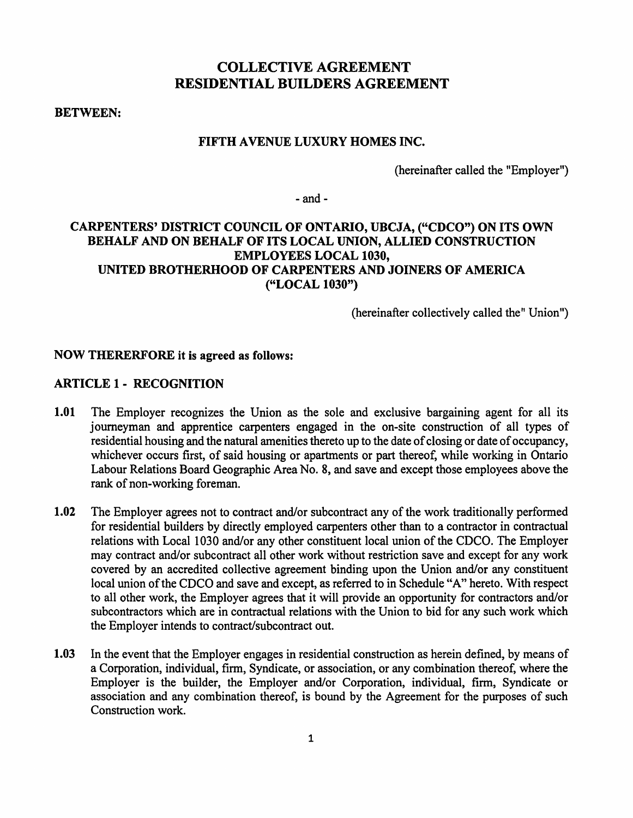# COLLECTIVE AGREEMENT RESIDENTIAL BUILDERS AGREEMENT

BETWEEN:

#### FIFTH A VENUE LUXURY HOMES INC.

(hereinafter called the "Employer")

 $-$ and  $-$ 

# CARPENTERS' DISTRICT COUNCIL OF ONTARIO, UBCJA, ("CDCO") ON ITS OWN BEHALF AND ON BEHALF OF ITS LOCAL UNION, ALLIED CONSTRUCTION EMPLOYEES LOCAL 1030, UNITED BROTHERHOOD OF CARPENTERS AND JOINERS OF AMERICA ("LOCAL 1030")

(hereinafter collectively called the "Union")

#### NOW THERERFORE it is agreed as follows:

### ARTICLE 1 - RECOGNITION

- 1.01 The Employer recognizes the Union as the sole and exclusive bargaining agent for all its journeyman and apprentice carpenters engaged in the on-site construction of all types of residential housing and the natural amenities thereto up to the date of closing or date of occupancy, whichever occurs first, of said housing or apartments or part thereof, while working in Ontario Labour Relations Board Geographic Area No. 8, and save and except those employees above the rank of non-working foreman.
- 1.02 The Employer agrees not to contract and/or subcontract any of the work traditionally performed for residential builders by directly employed carpenters other than to a contractor in contractual relations with Local 1030 and/or any other constituent local union of the CDCO. The Employer may contract and/or subcontract all other work without restriction save and except for any work covered by an accredited collective agreement binding upon the Union and/or any constituent local union of the CDCO and save and except, as referred to in Schedule "A" hereto. With respect to all other work, the Employer agrees that it will provide an opportunity for contractors and/or subcontractors which are in contractual relations with the Union to bid for any such work which the Employer intends to contract/subcontract out.
- 1.03 In the event that the Employer engages in residential construction as herein defined, by means of a Corporation, individual, firm, Syndicate, or association, or any combination thereof, where the Employer is the builder, the Employer and/or Corporation, individual, firm, Syndicate or association and any combination thereof, is bound by the Agreement for the purposes of such Construction work.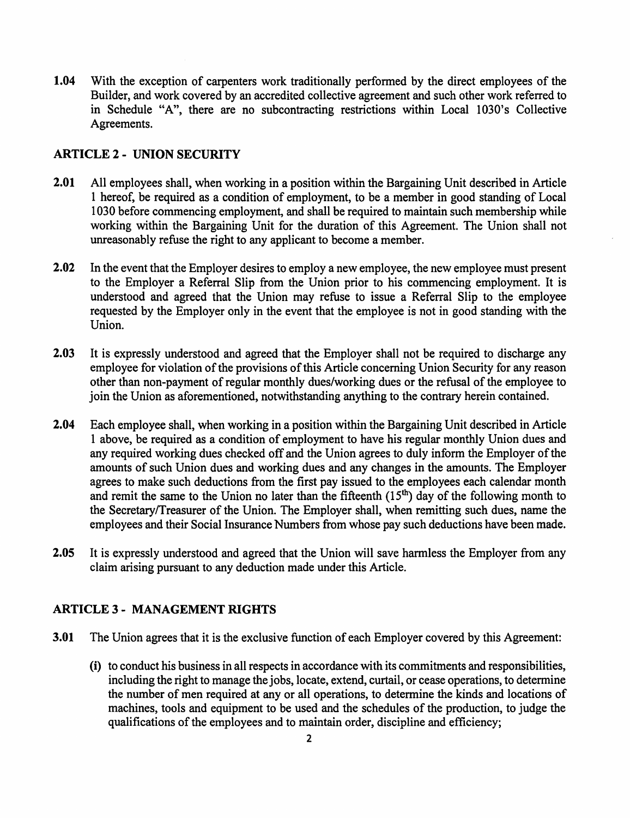1.04 With the exception of carpenters work traditionally performed by the direct employees of the Builder, and work covered by an accredited collective agreement and such other work referred to in Schedule "A", there are no subcontracting restrictions within Local 1030's Collective Agreements.

### ARTICLE 2 - UNION SECURITY

- 2.01 All employees shall, when working in a position within the Bargaining Unit described in Article 1 hereof, be required as a condition of employment, to be a member in good standing of Local 1030 before commencing employment, and shall be required to maintain such membership while working within the Bargaining Unit for the duration of this Agreement. The Union shall not unreasonably refuse the right to any applicant to become a member.
- 2.02 In the event that the Employer desires to employ a new employee, the new employee must present to the Employer a Referral Slip from the Union prior to his commencing employment. It is understood and agreed that the Union may refuse to issue a Referral Slip to the employee requested by the Employer only in the event that the employee is not in good standing with the Union.
- 2.03 It is expressly understood and agreed that the Employer shall not be required to discharge any employee for violation of the provisions of this Article concerning Union Security for any reason other than non-payment of regular monthly dues/working dues or the refusal of the employee to join the Union as aforementioned, notwithstanding anything to the contrary herein contained.
- 2.04 Each employee shall, when working in a position within the Bargaining Unit described in Article 1 above, be required as a condition of employment to have his regular monthly Union dues and any required working dues checked off and the Union agrees to duly inform the Employer of the amounts of such Union dues and working dues and any changes in the amounts. The Employer agrees to make such deductions from the first pay issued to the employees each calendar month and remit the same to the Union no later than the fifteenth  $(15<sup>th</sup>)$  day of the following month to the Secretary/Treasurer of the Union. The Employer shall, when remitting such dues, name the employees and their Social Insurance Numbers from whose pay such deductions have been made.
- 2.05 It is expressly understood and agreed that the Union will save harmless the Employer from any claim arising pursuant to any deduction made under this Article.

### ARTICLE 3 - MANAGEMENT RIGHTS

- 3.01 The Union agrees that it is the exclusive function of each Employer covered by this Agreement:
	- (i) to conduct his business in all respects in accordance with its commitments and responsibilities, including the right to manage the jobs, locate, extend, curtail, or cease operations, to determine the number of men required at any or all operations, to determine the kinds and locations of machines, tools and equipment to be used and the schedules of the production, to judge the qualifications of the employees and to maintain order, discipline and efficiency;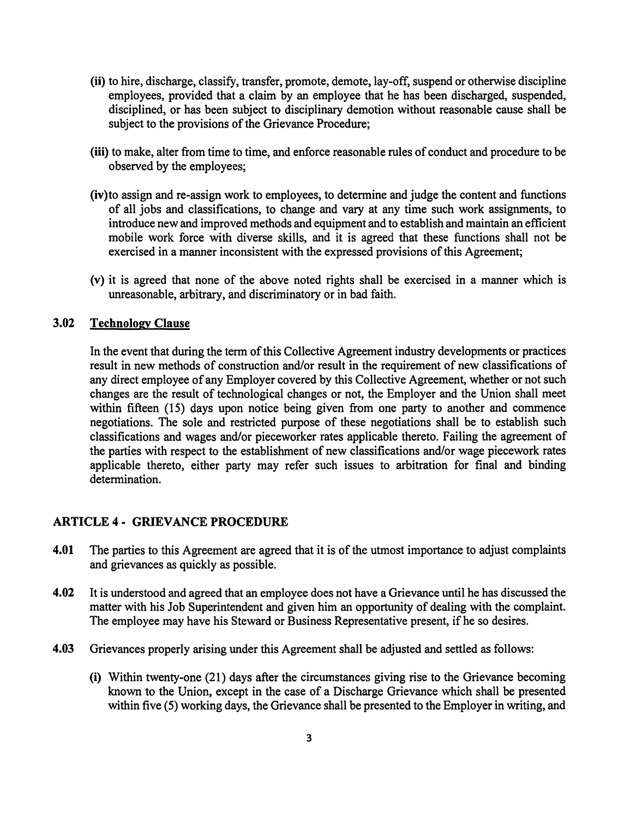- (ii) to hire, discharge, classify, transfer, promote, demote, lay-off, suspend or otherwise discipline employees, provided that a claim by an employee that he has been discharged, suspended, disciplined, or has been subject to disciplinary demotion without reasonable cause shall be subject to the provisions of the Grievance Procedure;
- (iii) to make, alter from time to time, and enforce reasonable rules of conduct and procedure to be observed by the employees;
- (iv)to assign and re-assign work to employees, to determine and judge the content and functions of all jobs and classifications, to change and vary at any time such work assignments, to introduce new and improved methods and equipment and to establish and maintain an efficient mobile work force with diverse skills, and it is agreed that these functions shall not be exercised in a manner inconsistent with the expressed provisions of this Agreement;
- (v) it is agreed that none of the above noted rights shall be exercised in a manner which is unreasonable, arbitrary, and discriminatory or in bad faith.

# 3.02 Technology Clause

In the event that during the term of this Collective Agreement industry developments or practices result in new methods of construction and/or result in the requirement of new classifications of any direct employee of any Employer covered by this Collective Agreement, whether or not such changes are the result of technological changes or not, the Employer and the Union shall meet within fifteen (15) days upon notice being given from one party to another and commence negotiations. The sole and restricted purpose of these negotiations shall be to establish such classifications and wages and/or pieceworker rates applicable thereto. Failing the agreement of the parties with respect to the establishment of new classifications and/or wage piecework rates applicable thereto, either party may refer such issues to arbitration for final and binding determination.

#### ARTICLE 4- GRIEVANCE PROCEDURE

- 4.01 The parties to this Agreement are agreed that it is of the utmost importance to adjust complaints and grievances as quickly as possible.
- 4.02 It is understood and agreed that an employee does not have a Grievance until he has discussed the matter with his Job Superintendent and given him an opportunity of dealing with the complaint. The employee may have his Steward or Business Representative present, if he so desires.
- 4.03 Grievances properly arising under this Agreement shall be adjusted and settled as follows:
	- (i) Within twenty-one (21) days after the circumstances giving rise to the Grievance becoming known to the Union, except in the case of a Discharge Grievance which shall be presented within five (5) working days, the Grievance shall be presented to the Employer in writing, and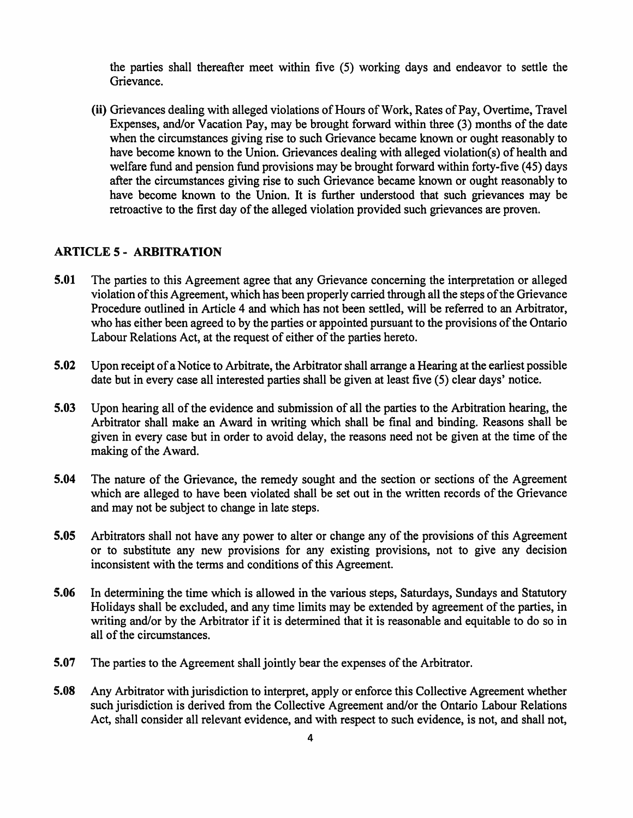the parties shall thereafter meet within five (5) working days and endeavor to settle the Grievance.

(ii) Grievances dealing with alleged violations of Hours of Work, Rates of Pay, Overtime, Travel Expenses, and/or Vacation Pay, may be brought forward within three (3) months of the date when the circumstances giving rise to such Grievance became known or ought reasonably to have become known to the Union. Grievances dealing with alleged violation(s) of health and welfare fund and pension fund provisions may be brought forward within forty-five (45) days after the circumstances giving rise to such Grievance became known or ought reasonably to have become known to the Union. It is further understood that such grievances may be retroactive to the first day of the alleged violation provided such grievances are proven.

#### ARTICLE 5- ARBITRATION

- 5.01 The parties to this Agreement agree that any Grievance concerning the interpretation or alleged violation of this Agreement, which has been properly carried through all the steps of the Grievance Procedure outlined in Article 4 and which has not been settled, will be referred to an Arbitrator, who has either been agreed to by the parties or appointed pursuant to the provisions of the Ontario Labour Relations Act, at the request of either of the parties hereto.
- 5.02 Upon receipt of a Notice to Arbitrate, the Arbitrator shall arrange a Hearing at the earliest possible date but in every case all interested parties shall be given at least five (5) clear days' notice.
- 5.03 Upon hearing all of the evidence and submission of all the parties to the Arbitration hearing, the Arbitrator shall make an Award in writing which shall be final and binding. Reasons shall be given in every case but in order to avoid delay, the reasons need not be given at the time of the making of the Award.
- 5.04 The nature of the Grievance, the remedy sought and the section or sections of the Agreement which are alleged to have been violated shall be set out in the written records of the Grievance and may not be subject to change in late steps.
- 5.05 Arbitrators shall not have any power to alter or change any of the provisions of this Agreement or to substitute any new provisions for any existing provisions, not to give any decision inconsistent with the terms and conditions of this Agreement.
- 5.06 In determining the time which is allowed in the various steps, Saturdays, Sundays and Statutory Holidays shall be excluded, and any time limits may be extended by agreement of the parties, in writing and/or by the Arbitrator if it is determined that it is reasonable and equitable to do so in all of the circumstances.
- 5.07 The parties to the Agreement shall jointly bear the expenses of the Arbitrator.
- 5.08 Any Arbitrator with jurisdiction to interpret, apply or enforce this Collective Agreement whether such jurisdiction is derived from the Collective Agreement and/or the Ontario Labour Relations Act, shall consider all relevant evidence, and with respect to such evidence, is not, and shall not,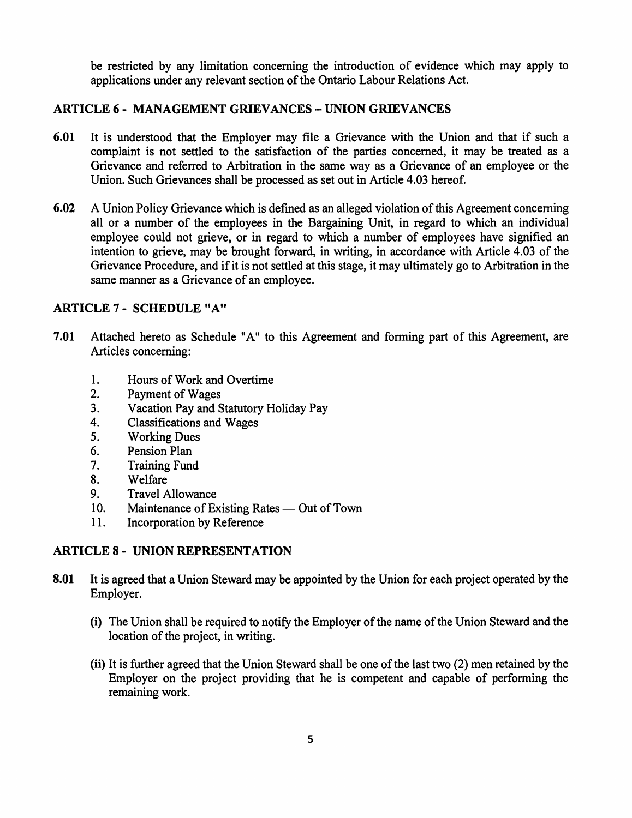be restricted by any limitation concerning the introduction of evidence which may apply to applications under any relevant section of the Ontario Labour Relations Act.

# ARTICLE 6 - MANAGEMENT GRIEVANCES -UNION GRIEVANCES

- 6.01 It is understood that the Employer may file a Grievance with the Union and that if such a complaint is not settled to the satisfaction of the parties concerned, it may be treated as a Grievance and referred to Arbitration in the same way as a Grievance of an employee or the Union. Such Grievances shall be processed as set out in Article 4.03 hereof.
- 6.02 A Union Policy Grievance which is defined as an alleged violation of this Agreement concerning all or a number of the employees in the Bargaining Unit, in regard to which an individual employee could not grieve, or in regard to which a number of employees have signified an intention to grieve, may be brought forward, in writing, in accordance with Article 4.03 of the Grievance Procedure, and if it is not settled at this stage, it may ultimately go to Arbitration in the same manner as a Grievance of an employee.

# ARTICLE 7- SCHEDULE "A"

- 7.01 Attached hereto as Schedule "A" to this Agreement and forming part of this Agreement, are Articles concerning:
	- 1. Hours of Work and Overtime
	- 2. Payment of Wages
	- 3. Vacation Pay and Statutory Holiday Pay
	- 4. Classifications and Wages
	- 5. Working Dues
	- 6. Pension Plan
	- 7. Training Fund
	- 8. Welfare
	- 9. Travel Allowance
	- 10. Maintenance of Existing Rates Out of Town
	- 11. Incorporation by Reference

# ARTICLE 8- UNION REPRESENTATION

- 8.01 It is agreed that a Union Steward may be appointed by the Union for each project operated by the Employer.
	- (i) The Union shall be required to notify the Employer of the name of the Union Steward and the location of the project, in writing.
	- (ii) It is further agreed that the Union Steward shall be one of the last two (2) men retained by the Employer on the project providing that he is competent and capable of performing the remaining work.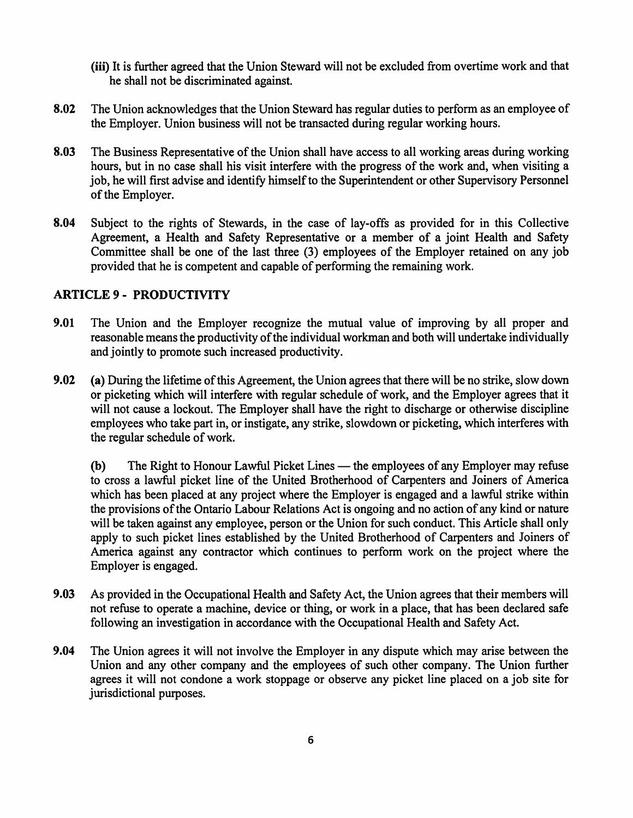(iii) It is further agreed that the Union Steward will not be excluded from overtime work and that he shall not be discriminated against.

- 8.02 The Union acknowledges that the Union Steward has regular duties to perform as an employee of the Employer. Union business will not be transacted during regular working hours.
- 8.03 The Business Representative of the Union shall have access to all working areas during working hours, but in no case shall his visit interfere with the progress of the work and, when visiting a job, he will first advise and identify himself to the Superintendent or other Supervisory Personnel of the Employer.
- 8.04 Subject to the rights of Stewards, in the case of lay-offs as provided for in this Collective Agreement, a Health and Safety Representative or a member of a joint Health and Safety Committee shall be one of the last three (3) employees of the Employer retained on any job provided that he is competent and capable of performing the remaining work.

#### ARTICLE 9 - PRODUCTIVITY

- 9.01 The Union and the Employer recognize the mutual value of improving by all proper and reasonable means the productivity of the individual workman and both will undertake individually and jointly to promote such increased productivity.
- 9.02 (a) During the lifetime of this Agreement, the Union agrees that there will be no strike, slow down or picketing which will interfere with regular schedule of work, and the Employer agrees that it will not cause a lockout. The Employer shall have the right to discharge or otherwise discipline employees who take part in, or instigate, any strike, slowdown or picketing, which interferes with the regular schedule of work.

(b) The Right to Honour Lawful Picket Lines — the employees of any Employer may refuse to cross a lawful picket line of the United Brotherhood of Carpenters and Joiners of America which has been placed at any project where the Employer is engaged and a lawful strike within the provisions ofthe Ontario Labour Relations Act is ongoing and no action of any kind or nature will be taken against any employee, person or the Union for such conduct. This Article shall only apply to such picket lines established by the United Brotherhood of Carpenters and Joiners of America against any contractor which continues to perform work on the project where the Employer is engaged.

- 9.03 As provided in the Occupational Health and Safety Act, the Union agrees that their members will not refuse to operate a machine, device or thing, or work in a place, that has been declared safe following an investigation in accordance with the Occupational Health and Safety Act.
- 9.04 The Union agrees it will not involve the Employer in any dispute which may arise between the Union and any other company and the employees of such other company. The Union further agrees it will not condone a work stoppage or observe any picket line placed on a job site for jurisdictional purposes.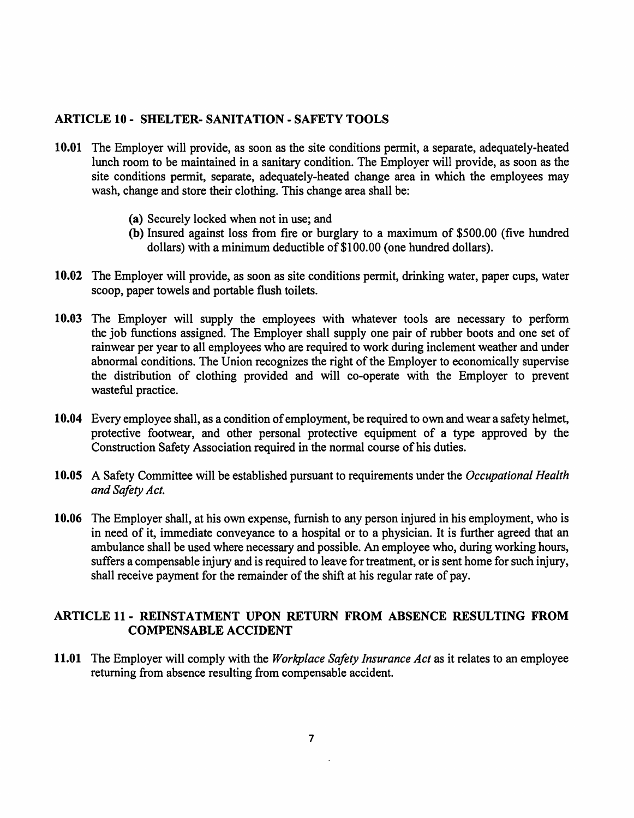#### ARTICLE 10- SHELTER- SANITATION- SAFETY TOOLS

- 10.01 The Employer will provide, as soon as the site conditions permit, a separate, adequately-heated lunch room to be maintained in a sanitary condition. The Employer will provide, as soon as the site conditions permit, separate, adequately-heated change area in which the employees may wash, change and store their clothing. This change area shall be:
	- (a) Securely locked when not in use; and
	- (b) Insured against loss from fire or burglary to a maximum of \$500.00 (five hundred dollars) with a minimum deductible of \$100.00 (one hundred dollars).
- 10.02 The Employer will provide, as soon as site conditions permit, drinking water, paper cups, water scoop, paper towels and portable flush toilets.
- 10.03 The Employer will supply the employees with whatever tools are necessary to perform the job functions assigned. The Employer shall supply one pair of rubber boots and one set of rainwear per year to all employees who are required to work during inclement weather and under abnormal conditions. The Union recognizes the right of the Employer to economically supervise the distribution of clothing provided and will co-operate with the Employer to prevent wasteful practice.
- 10.04 Every employee shall, as a condition of employment, be required to own and wear a safety helmet, protective footwear, and other personal protective equipment of a type approved by the Construction Safety Association required in the normal course of his duties.
- 10.05 A Safety Committee will be established pursuant to requirements under the *Occupational Health and Safety Act.*
- 10.06 The Employer shall, at his own expense, furnish to any person injured in his employment, who is in need of it, immediate conveyance to a hospital or to a physician. It is further agreed that an ambulance shall be used where necessary and possible. An employee who, during working hours, suffers a compensable injury and is required to leave for treatment, or is sent home for such injury, shall receive payment for the remainder of the shift at his regular rate of pay.

# ARTICLE 11- REINSTATMENT UPON RETURN FROM ABSENCE RESULTING FROM COMPENSABLE ACCIDENT

11.01 The Employer will comply with the *Workplace Safety Insurance Act* as it relates to an employee returning from absence resulting from compensable accident.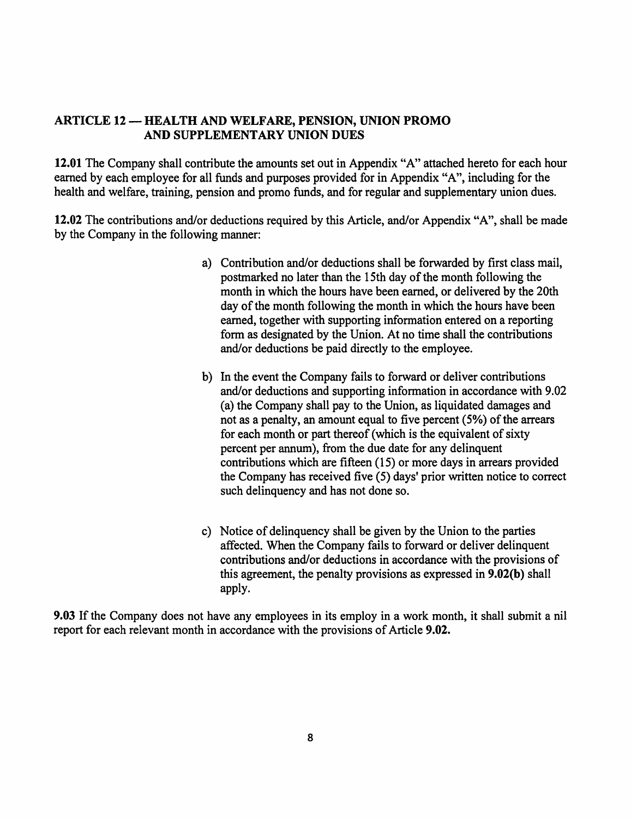### ARTICLE 12 - HEALTH AND WELFARE, PENSION, UNION PROMO AND SUPPLEMENTARY UNION DUES

12.01 The Company shall contribute the amounts set out in Appendix "A" attached hereto for each hour earned by each employee for all funds and purposes provided for in Appendix "A", including for the health and welfare, training, pension and promo funds, and for regular and supplementary union dues.

12.02 The contributions and/or deductions required by this Article, and/or Appendix "A", shall be made by the Company in the following manner:

- a) Contribution and/or deductions shall be forwarded by first class mail, postmarked no later than the 15th day of the month following the month in which the hours have been earned, or delivered by the 20th day of the month following the month in which the hours have been earned, together with supporting information entered on a reporting form as designated by the Union. At no time shall the contributions and/or deductions be paid directly to the employee.
- b) In the event the Company fails to forward or deliver contributions and/or deductions and supporting information in accordance with 9.02 (a) the Company shall pay to the Union, as liquidated damages and not as a penalty, an amount equal to five percent (5%) of the arrears for each month or part thereof (which is the equivalent of sixty percent per annum), from the due date for any delinquent contributions which are fifteen (15) or more days in arrears provided the Company has received five (5) days' prior written notice to correct such delinquency and has not done so.
- c) Notice of delinquency shall be given by the Union to the parties affected. When the Company fails to forward or deliver delinquent contributions and/or deductions in accordance with the provisions of this agreement, the penalty provisions as expressed in 9.02(b) shall apply.

9.03 If the Company does not have any employees in its employ in a work month, it shall submit a nil report for each relevant month in accordance with the provisions of Article 9.02.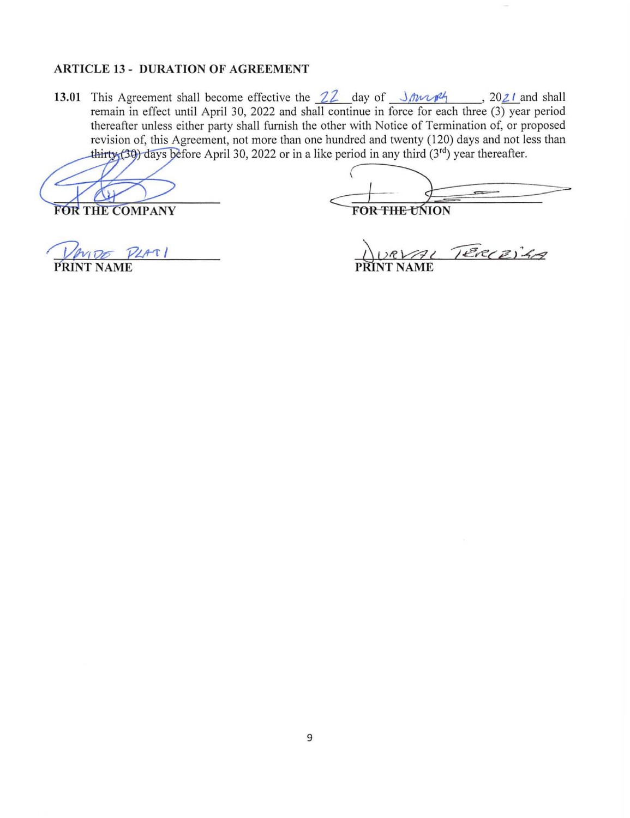#### **ARTICLE 13 - DURATION OF AGREEMENT**

**13.01** This Agreement shall become effective the  $22$  day of  $\frac{1}{12}$   $\frac{1}{24}$ . 2021 and shall remain in effect until April 30, 2022 and shall continue in force for each three (3) year period thereafter unless either party shall furnish the other with Notice of Termination of, or proposed revision of, this Agreement, not more than one hundred and twenty (120) days and not less than thirty (30) days before April 30, 2022 or in a like period in any third  $(3^{rd})$  year thereafter.

**FOR THE COMPANY** 

 $\frac{1}{\sqrt{\frac{1}{\text{FOR THE UNION}}}}$ 

 $100 \text{ P41}$ **PRINT NAME** 

TER(Z)4A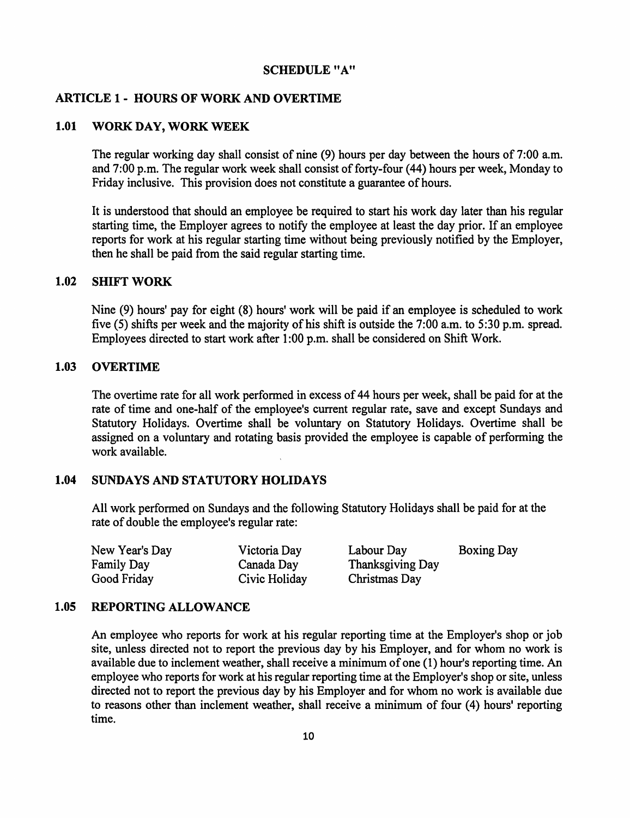#### SCHEDULE "A"

#### ARTICLE 1 - HOURS OF WORK AND OVERTIME

#### 1.01 WORK DAY, WORK WEEK

The regular working day shall consist of nine (9) hours per day between the hours of 7:00 a.m. and 7:00 p.m. The regular work week shall consist of forty-four (44) hours per week, Monday to Friday inclusive. This provision does not constitute a guarantee of hours.

It is understood that should an employee be required to start his work day later than his regular starting time, the Employer agrees to notify the employee at least the day prior. If an employee reports for work at his regular starting time without being previously notified by the Employer, then he shall be paid from the said regular starting time.

#### 1.02 SHIFT WORK

Nine (9) hours' pay for eight (8) hours' work will be paid if an employee is scheduled to work five  $(5)$  shifts per week and the majority of his shift is outside the 7:00 a.m. to 5:30 p.m. spread. Employees directed to start work after 1 :00 p.m. shall be considered on Shift Work.

#### 1.03 OVERTIME

The overtime rate for all work performed in excess of 44 hours per week, shall be paid for at the rate of time and one-half of the employee's current regular rate, save and except Sundays and Statutory Holidays. Overtime shall be voluntary on Statutory Holidays. Overtime shall be assigned on a voluntary and rotating basis provided the employee is capable of performing the work available.

#### 1.04 SUNDAYS AND STATUTORY HOLIDAYS

All work performed on Sundays and the following Statutory Holidays shall be paid for at the rate of double the employee's regular rate:

New Year's Day Family Day Good Friday

Victoria Day Canada Day Civic Holiday Labour Day Boxing Day Thanksgiving Day Christmas Day

#### 1.05 REPORTING ALLOWANCE

An employee who reports for work at his regular reporting time at the Employer's shop or job site, unless directed not to report the previous day by his Employer, and for whom no work is available due to inclement weather, shall receive a minimum of one (1) hour's reporting time. An employee who reports for work at his regular reporting time at the Employer's shop or site, unless directed not to report the previous day by his Employer and for whom no work is available due to reasons other than inclement weather, shall receive a minimum of four (4) hours' reporting time.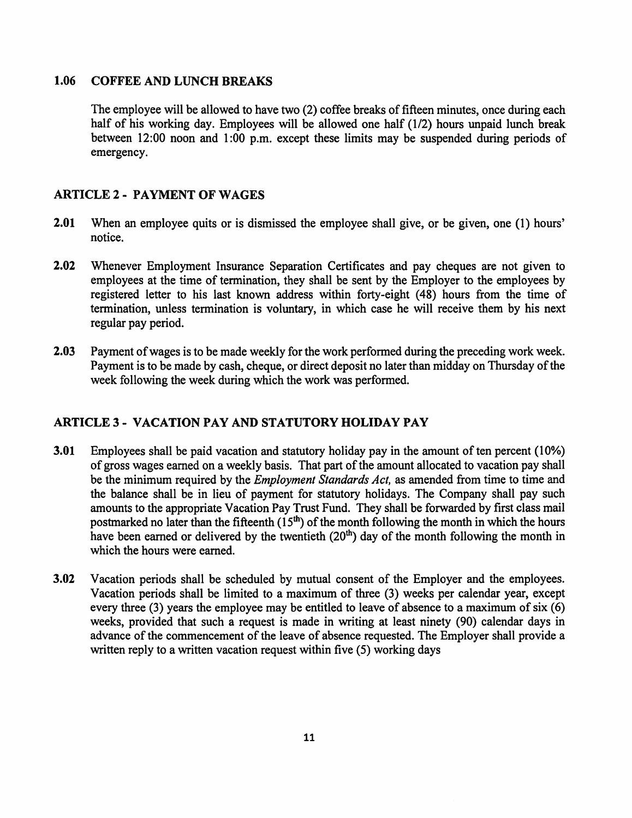#### 1.06 COFFEE AND LUNCH BREAKS

The employee will be allowed to have two (2) coffee breaks of fifteen minutes, once during each half of his working day. Employees will be allowed one half (1/2) hours unpaid lunch break between 12:00 noon and 1:00 p.m. except these limits may be suspended during periods of emergency.

# ARTICLE 2 - PAYMENT OF WAGES

- 2.01 When an employee quits or is dismissed the employee shall give, or be given, one (1) hours' notice.
- 2.02 Whenever Employment Insurance Separation Certificates and pay cheques are not given to employees at the time of termination, they shall be sent by the Employer to the employees by registered letter to his last known address within forty-eight ( 48) hours from the time of termination, unless termination is voluntary, in which case he will receive them by his next regular pay period.
- 2.03 Payment of wages is to be made weekly for the work performed during the preceding work week. Payment is to be made by cash, cheque, or direct deposit no later than midday on Thursday of the week following the week during which the work was performed.

# ARTICLE 3 - VACATION PAY AND STATUTORY HOLIDAY PAY

- 3.01 Employees shall be paid vacation and statutory holiday pay in the amount of ten percent (10%) of gross wages earned on a weekly basis. That part of the amount allocated to vacation pay shall be the minimum required by the *Employment Standards Act,* as amended from time to time and the balance shall be in lieu of payment for statutory holidays. The Company shall pay such amounts to the appropriate Vacation Pay Trust Fund. They shall be forwarded by first class mail postmarked no later than the fifteenth  $(15<sup>th</sup>)$  of the month following the month in which the hours have been earned or delivered by the twentieth  $(20<sup>th</sup>)$  day of the month following the month in which the hours were earned.
- 3.02 Vacation periods shall be scheduled by mutual consent of the Employer and the employees. Vacation periods shall be limited to a maximum of three (3) weeks per calendar year, except every three (3) years the employee may be entitled to leave of absence to a maximum of six (6) weeks, provided that such a request is made in writing at least ninety (90) calendar days in advance of the commencement of the leave of absence requested. The Employer shall provide a written reply to a written vacation request within five (5) working days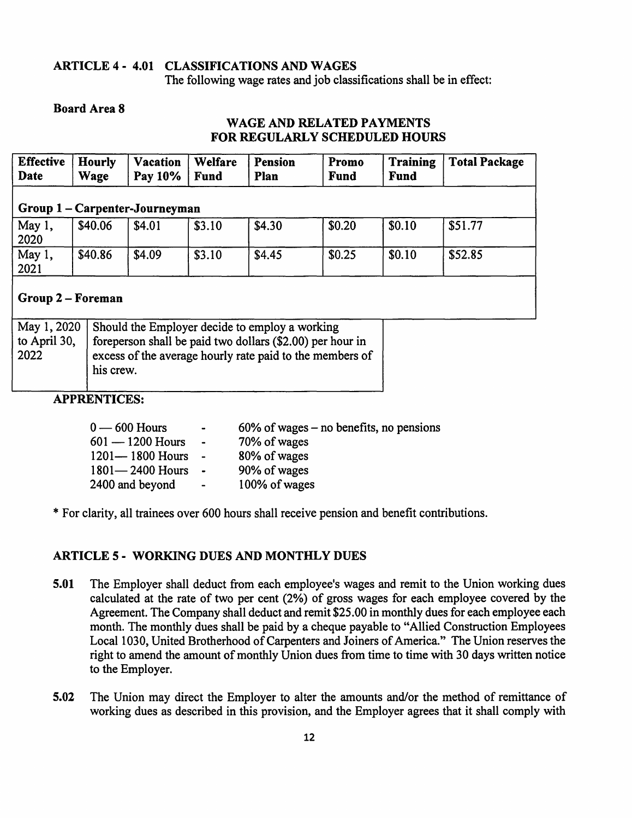# ARTICLE 4- 4.01 CLASSIFICATIONS AND WAGES

The following wage rates and job classifications shall be in effect:

### Board Area 8

### WAGE AND RELATED PAYMENTS FOR REGULARLY SCHEDULED HOURS

| <b>Effective</b><br>Date       | Hourly<br>Wage | <b>Vacation</b><br>Pay 10% | Welfare<br><b>Fund</b> | <b>Pension</b><br>Plan | Promo<br>Fund | <b>Training</b><br>Fund | <b>Total Package</b> |
|--------------------------------|----------------|----------------------------|------------------------|------------------------|---------------|-------------------------|----------------------|
| Group 1 – Carpenter-Journeyman |                |                            |                        |                        |               |                         |                      |
| May 1,<br>2020                 | \$40.06        | \$4.01                     | \$3.10                 | \$4.30                 | \$0.20        | \$0.10                  | \$51.77              |
| May 1,<br>2021                 | \$40.86        | \$4.09                     | \$3.10                 | \$4.45                 | \$0.25        | \$0.10                  | \$52.85              |
| Group 2 – Foreman              |                |                            |                        |                        |               |                         |                      |

|              | May 1, 2020   Should the Employer decide to employ a working |  |
|--------------|--------------------------------------------------------------|--|
| to April 30, | foreperson shall be paid two dollars (\$2.00) per hour in    |  |
| 2022         | excess of the average hourly rate paid to the members of     |  |
|              | his crew.                                                    |  |
|              |                                                              |  |

# APPRENTICES:

| $0 - 600$ Hours     | $\bullet$ .<br><br><br><br><br><br> | $60\%$ of wages – no benefits, no pensions |
|---------------------|-------------------------------------|--------------------------------------------|
| $601 - 1200$ Hours  | $\blacksquare$                      | 70% of wages                               |
| $1201 - 1800$ Hours | $\sim$ $-$                          | 80% of wages                               |
| $1801 - 2400$ Hours | $\sim$ $\sim$                       | 90% of wages                               |
| 2400 and beyond     |                                     | 100% of wages                              |

\*For clarity, all trainees over 600 hours shall receive pension and benefit contributions.

# ARTICLE 5 - WORKING DUES AND MONTHLY DUES

- 5.01 The Employer shall deduct from each employee's wages and remit to the Union working dues calculated at the rate of two per cent (2%) of gross wages for each employee covered by the Agreement. The Company shall deduct and remit \$25.00 in monthly dues for each employee each month. The monthly dues shall be paid by a cheque payable to "Allied Construction Employees Local 1030, United Brotherhood of Carpenters and Joiners of America." The Union reserves the right to amend the amount of monthly Union dues from time to time with 30 days written notice to the Employer.
- 5.02 The Union may direct the Employer to alter the amounts and/or the method of remittance of working dues as described in this provision, and the Employer agrees that it shall comply with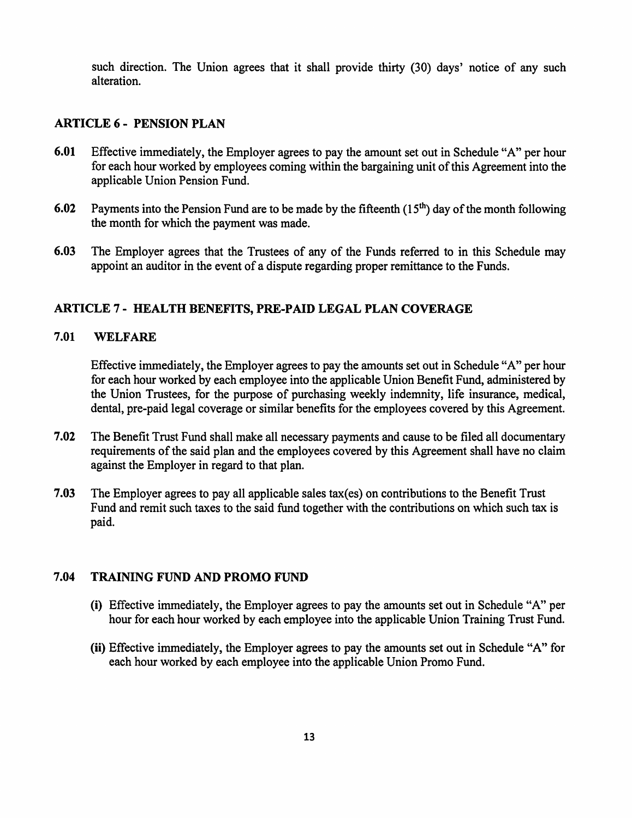such direction. The Union agrees that it shall provide thirty (30) days' notice of any such alteration.

#### ARTICLE 6 - PENSION PLAN

- 6.01 Effective immediately, the Employer agrees to pay the amount set out in Schedule "A" per hour for each hour worked by employees coming within the bargaining unit of this Agreement into the applicable Union Pension Fund.
- 6.02 Payments into the Pension Fund are to be made by the fifteenth  $(15<sup>th</sup>)$  day of the month following the month for which the payment was made.
- 6.03 The Employer agrees that the Trustees of any of the Funds referred to in this Schedule may appoint an auditor in the event of a dispute regarding proper remittance to the Funds.

### ARTICLE 7- HEALTH BENEFITS, PRE-PAID LEGAL PLAN COVERAGE

#### 7.01 WELFARE

Effective immediately, the Employer agrees to pay the amounts set out in Schedule "A" per hour for each hour worked by each employee into the applicable Union Benefit Fund, administered by the Union Trustees, for the purpose of purchasing weekly indemnity, life insurance, medical, dental, pre-paid legal coverage or similar benefits for the employees covered by this Agreement.

- 7.02 The Benefit Trust Fund shall make all necessary payments and cause to be filed all documentary requirements of the said plan and the employees covered by this Agreement shall have no claim against the Employer in regard to that plan.
- 7.03 The Employer agrees to pay all applicable sales tax(es) on contributions to the Benefit Trust Fund and remit such taxes to the said fund together with the contributions on which such tax is paid.

#### 7.04 TRAINING FUND AND PROMO FUND

- (i) Effective immediately, the Employer agrees to pay the amounts set out in Schedule "A" per hour for each hour worked by each employee into the applicable Union Training Trust Fund.
- (ii) Effective immediately, the Employer agrees to pay the amounts set out in Schedule "A" for each hour worked by each employee into the applicable Union Promo Fund.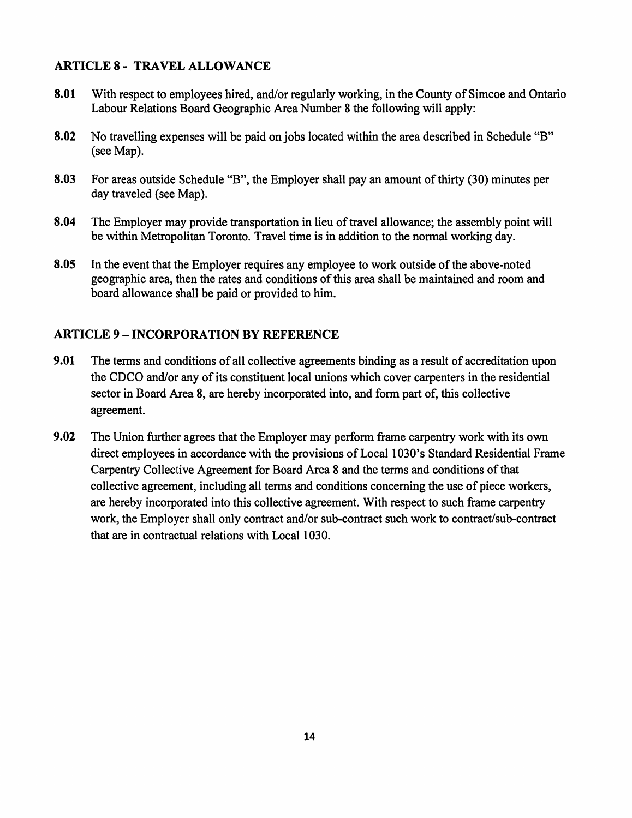# ARTICLE 8 - TRAVEL ALLOWANCE

- 8.01 With respect to employees hired, and/or regularly working, in the County of Simcoe and Ontario Labour Relations Board Geographic Area Number 8 the following will apply:
- 8.02 No travelling expenses will be paid on jobs located within the area described in Schedule "B" (see Map).
- 8.03 For areas outside Schedule "B", the Employer shall pay an amount of thirty (30) minutes per day traveled (see Map).
- 8.04 The Employer may provide transportation in lieu of travel allowance; the assembly point will be within Metropolitan Toronto. Travel time is in addition to the normal working day.
- 8.05 In the event that the Employer requires any employee to work outside of the above-noted geographic area, then the rates and conditions of this area shall be maintained and room and board allowance shall be paid or provided to him.

# ARTICLE 9-INCORPORATION BY REFERENCE

- 9.01 The terms and conditions of all collective agreements binding as a result of accreditation upon the CDCO and/or any of its constituent local unions which cover carpenters in the residential sector in Board Area 8, are hereby incorporated into, and form part of, this collective agreement.
- 9.02 The Union further agrees that the Employer may perform frame carpentry work with its own direct employees in accordance with the provisions of Local 1030's Standard Residential Frame Carpentry Collective Agreement for Board Area 8 and the terms and conditions of that collective agreement, including all terms and conditions concerning the use of piece workers, are hereby incorporated into this collective agreement. With respect to such frame carpentry work, the Employer shall only contract and/or sub-contract such work to contract/sub-contract that are in contractual relations with Local 1030.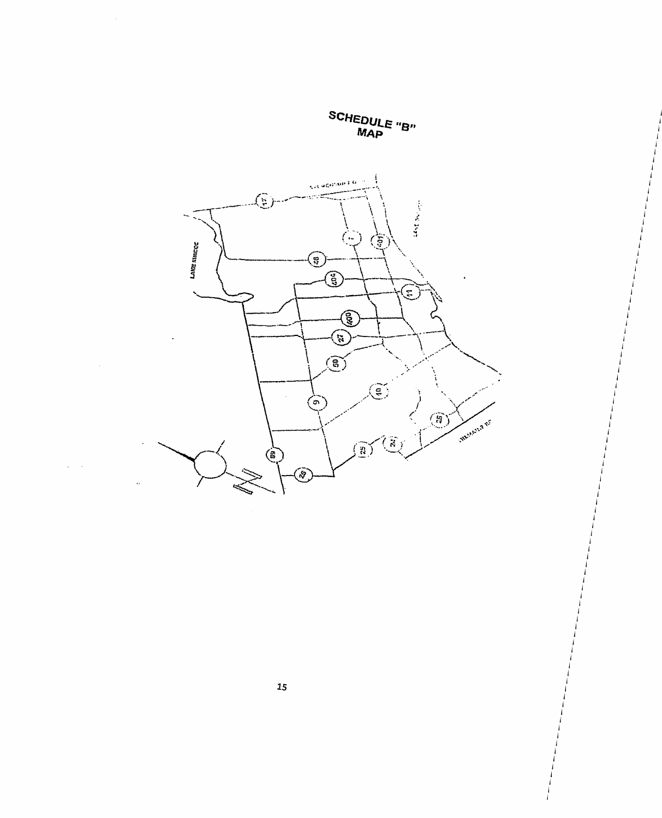**SCHEDULE** "B" **MAp** 



 $\ddot{\varepsilon}$ 

 $\cdot$ 

j j j j j j

j j j j j j j j j j j

j j j j j j j j j j j j j j j j j j j j j j

j j